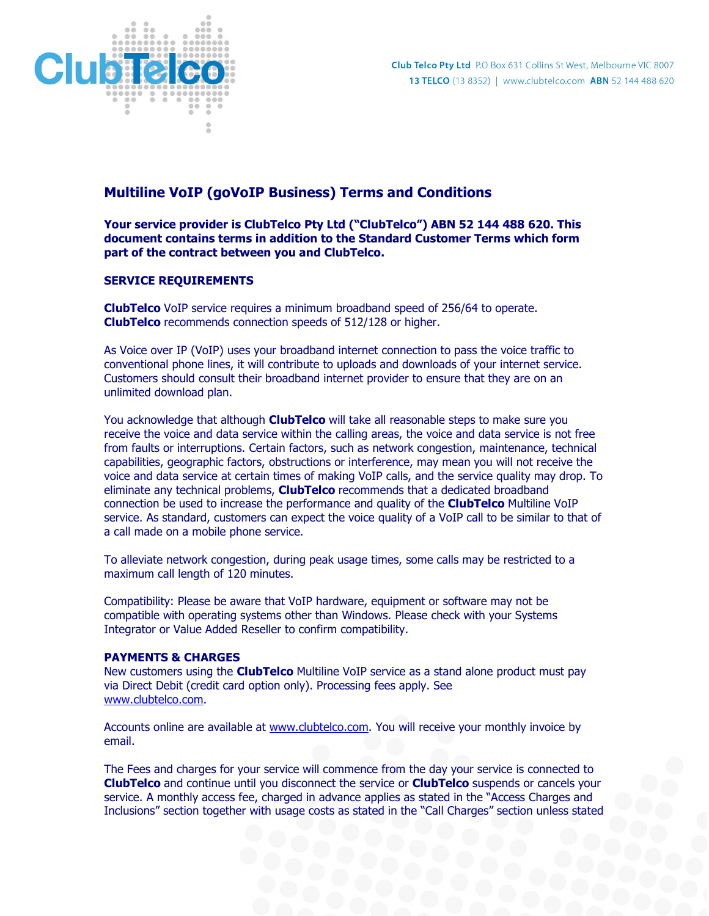

# Multiline VoIP (goVoIP Business) Terms and Conditions

Your service provider is ClubTelco Pty Ltd ("ClubTelco") ABN 52 144 488 620. This document contains terms in addition to the Standard Customer Terms which form part of the contract between you and ClubTelco.

# SERVICE REQUIREMENTS

ClubTelco VoIP service requires a minimum broadband speed of 256/64 to operate. **ClubTelco** recommends connection speeds of 512/128 or higher.

As Voice over IP (VoIP) uses your broadband internet connection to pass the voice traffic to conventional phone lines, it will contribute to uploads and downloads of your internet service. Customers should consult their broadband internet provider to ensure that they are on an unlimited download plan.

You acknowledge that although **ClubTelco** will take all reasonable steps to make sure you receive the voice and data service within the calling areas, the voice and data service is not free from faults or interruptions. Certain factors, such as network congestion, maintenance, technical capabilities, geographic factors, obstructions or interference, may mean you will not receive the voice and data service at certain times of making VoIP calls, and the service quality may drop. To eliminate any technical problems, ClubTelco recommends that a dedicated broadband connection be used to increase the performance and quality of the **ClubTelco** Multiline VoIP service. As standard, customers can expect the voice quality of a VoIP call to be similar to that of a call made on a mobile phone service.

To alleviate network congestion, during peak usage times, some calls may be restricted to a maximum call length of 120 minutes.

Compatibility: Please be aware that VoIP hardware, equipment or software may not be compatible with operating systems other than Windows. Please check with your Systems Integrator or Value Added Reseller to confirm compatibility.

### PAYMENTS & CHARGES

New customers using the **ClubTelco** Multiline VoIP service as a stand alone product must pay via Direct Debit (credit card option only). Processing fees apply. See www.clubtelco.com.

Accounts online are available at www.clubtelco.com. You will receive your monthly invoice by email.

The Fees and charges for your service will commence from the day your service is connected to ClubTelco and continue until you disconnect the service or ClubTelco suspends or cancels your service. A monthly access fee, charged in advance applies as stated in the "Access Charges and Inclusions" section together with usage costs as stated in the "Call Charges" section unless stated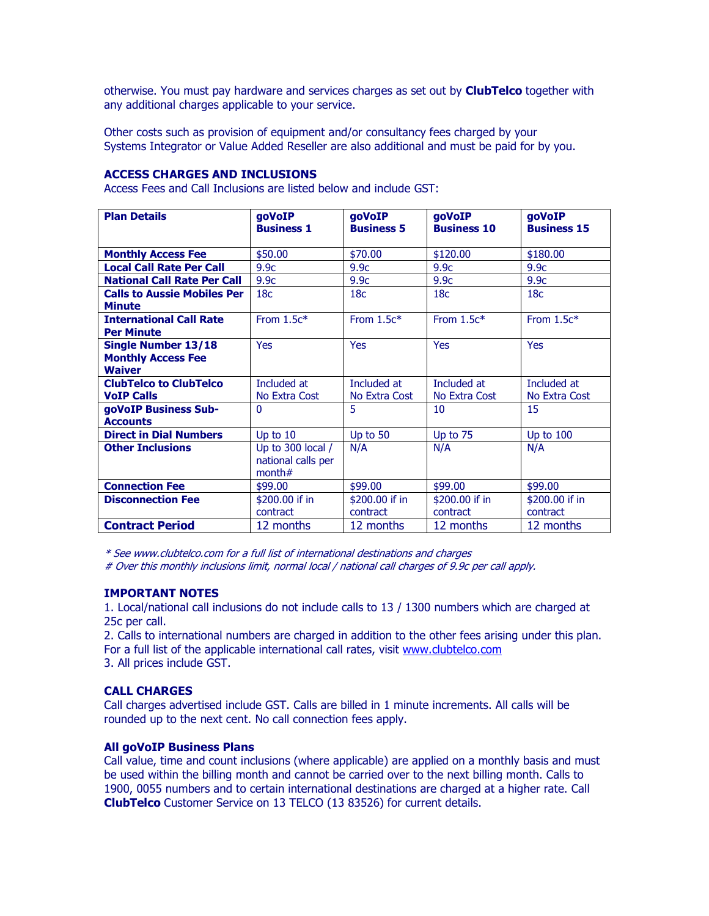otherwise. You must pay hardware and services charges as set out by **ClubTelco** together with any additional charges applicable to your service.

Other costs such as provision of equipment and/or consultancy fees charged by your Systems Integrator or Value Added Reseller are also additional and must be paid for by you.

### ACCESS CHARGES AND INCLUSIONS

Access Fees and Call Inclusions are listed below and include GST:

| <b>Plan Details</b>                                 | goVoIP<br><b>Business 1</b>     | goVoIP<br><b>Business 5</b> | goVoIP<br><b>Business 10</b> | goVoIP<br><b>Business 15</b> |
|-----------------------------------------------------|---------------------------------|-----------------------------|------------------------------|------------------------------|
|                                                     |                                 |                             |                              |                              |
| <b>Monthly Access Fee</b>                           | \$50.00                         | \$70.00                     | \$120.00                     | \$180.00                     |
| <b>Local Call Rate Per Call</b>                     | 9.9 <sub>c</sub>                | 9.9 <sub>C</sub>            | 9.9 <sub>c</sub>             | 9.9 <sub>c</sub>             |
| <b>National Call Rate Per Call</b>                  | 9.9 <sub>c</sub>                | 9.9 <sub>c</sub>            | 9.9 <sub>c</sub>             | 9.9c                         |
| <b>Calls to Aussie Mobiles Per</b>                  | 18 <sub>c</sub>                 | 18 <sub>C</sub>             | 18 <sub>C</sub>              | 18 <sub>C</sub>              |
| <b>Minute</b>                                       |                                 |                             |                              |                              |
| <b>International Call Rate</b><br><b>Per Minute</b> | From $1.5c*$                    | From $1.5c*$                | From $1.5c*$                 | From $1.5c*$                 |
| <b>Single Number 13/18</b>                          | <b>Yes</b>                      | <b>Yes</b>                  | <b>Yes</b>                   | <b>Yes</b>                   |
| <b>Monthly Access Fee</b>                           |                                 |                             |                              |                              |
| <b>Waiver</b>                                       |                                 |                             |                              |                              |
| <b>ClubTelco to ClubTelco</b>                       | Included at                     | Included at                 | Included at                  | Included at                  |
| <b>VoIP Calls</b>                                   | No Extra Cost                   | No Extra Cost               | No Extra Cost                | No Extra Cost                |
| goVoIP Business Sub-                                | $\Omega$                        | 5                           | 10                           | 15                           |
| <b>Accounts</b>                                     |                                 |                             |                              |                              |
| <b>Direct in Dial Numbers</b>                       | Up to $10$                      | Up to 50                    | Up to 75                     | Up to $100$                  |
| <b>Other Inclusions</b>                             | Up to 300 local /               | N/A                         | N/A                          | N/A                          |
|                                                     | national calls per<br>month $#$ |                             |                              |                              |
| <b>Connection Fee</b>                               | \$99.00                         | \$99.00                     | \$99.00                      | \$99.00                      |
| <b>Disconnection Fee</b>                            | \$200.00 if in                  | \$200.00 if in              | \$200.00 if in               | \$200.00 if in               |
|                                                     | contract                        | contract                    | contract                     | contract                     |
| <b>Contract Period</b>                              | 12 months                       | 12 months                   | 12 months                    | 12 months                    |

\* See www.clubtelco.com for a full list of international destinations and charges

# Over this monthly inclusions limit, normal local / national call charges of 9.9c per call apply.

### IMPORTANT NOTES

1. Local/national call inclusions do not include calls to 13 / 1300 numbers which are charged at 25c per call.

2. Calls to international numbers are charged in addition to the other fees arising under this plan. For a full list of the applicable international call rates, visit www.clubtelco.com 3. All prices include GST.

### CALL CHARGES

Call charges advertised include GST. Calls are billed in 1 minute increments. All calls will be rounded up to the next cent. No call connection fees apply.

### All goVoIP Business Plans

Call value, time and count inclusions (where applicable) are applied on a monthly basis and must be used within the billing month and cannot be carried over to the next billing month. Calls to 1900, 0055 numbers and to certain international destinations are charged at a higher rate. Call ClubTelco Customer Service on 13 TELCO (13 83526) for current details.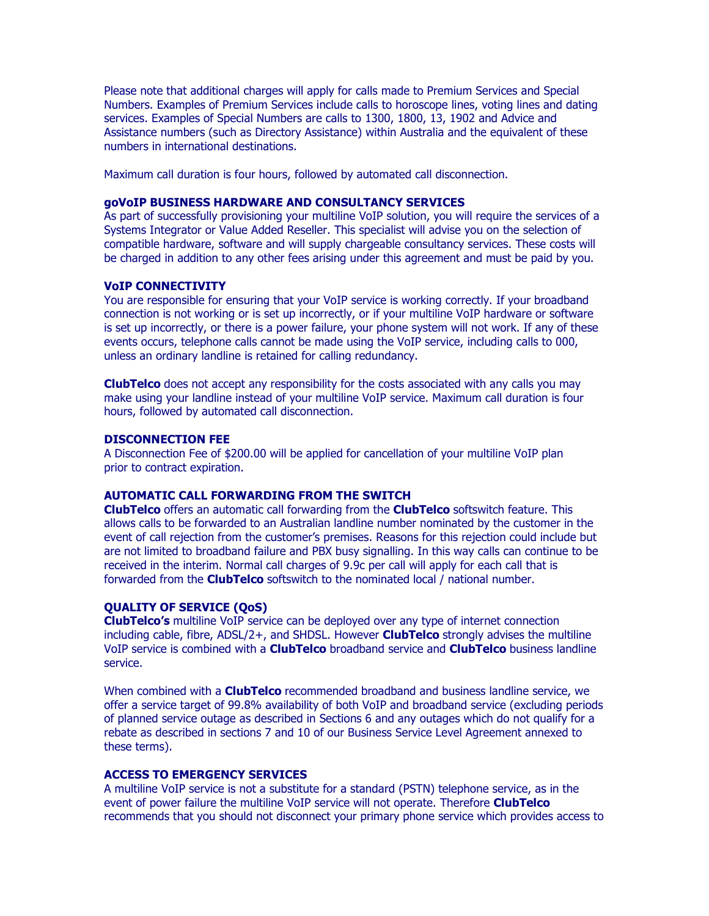Please note that additional charges will apply for calls made to Premium Services and Special Numbers. Examples of Premium Services include calls to horoscope lines, voting lines and dating services. Examples of Special Numbers are calls to 1300, 1800, 13, 1902 and Advice and Assistance numbers (such as Directory Assistance) within Australia and the equivalent of these numbers in international destinations.

Maximum call duration is four hours, followed by automated call disconnection.

### goVoIP BUSINESS HARDWARE AND CONSULTANCY SERVICES

As part of successfully provisioning your multiline VoIP solution, you will require the services of a Systems Integrator or Value Added Reseller. This specialist will advise you on the selection of compatible hardware, software and will supply chargeable consultancy services. These costs will be charged in addition to any other fees arising under this agreement and must be paid by you.

### VoIP CONNECTIVITY

You are responsible for ensuring that your VoIP service is working correctly. If your broadband connection is not working or is set up incorrectly, or if your multiline VoIP hardware or software is set up incorrectly, or there is a power failure, your phone system will not work. If any of these events occurs, telephone calls cannot be made using the VoIP service, including calls to 000, unless an ordinary landline is retained for calling redundancy.

**ClubTelco** does not accept any responsibility for the costs associated with any calls you may make using your landline instead of your multiline VoIP service. Maximum call duration is four hours, followed by automated call disconnection.

#### DISCONNECTION FEE

A Disconnection Fee of \$200.00 will be applied for cancellation of your multiline VoIP plan prior to contract expiration.

### AUTOMATIC CALL FORWARDING FROM THE SWITCH

ClubTelco offers an automatic call forwarding from the ClubTelco softswitch feature. This allows calls to be forwarded to an Australian landline number nominated by the customer in the event of call rejection from the customer's premises. Reasons for this rejection could include but are not limited to broadband failure and PBX busy signalling. In this way calls can continue to be received in the interim. Normal call charges of 9.9c per call will apply for each call that is forwarded from the **ClubTelco** softswitch to the nominated local / national number.

#### QUALITY OF SERVICE (QoS)

**ClubTelco's** multiline VoIP service can be deployed over any type of internet connection including cable, fibre,  $ADSL/2+$ , and SHDSL. However **ClubTelco** strongly advises the multiline VoIP service is combined with a **ClubTelco** broadband service and **ClubTelco** business landline service.

When combined with a **ClubTelco** recommended broadband and business landline service, we offer a service target of 99.8% availability of both VoIP and broadband service (excluding periods of planned service outage as described in Sections 6 and any outages which do not qualify for a rebate as described in sections 7 and 10 of our Business Service Level Agreement annexed to these terms).

#### ACCESS TO EMERGENCY SERVICES

A multiline VoIP service is not a substitute for a standard (PSTN) telephone service, as in the event of power failure the multiline VoIP service will not operate. Therefore ClubTelco recommends that you should not disconnect your primary phone service which provides access to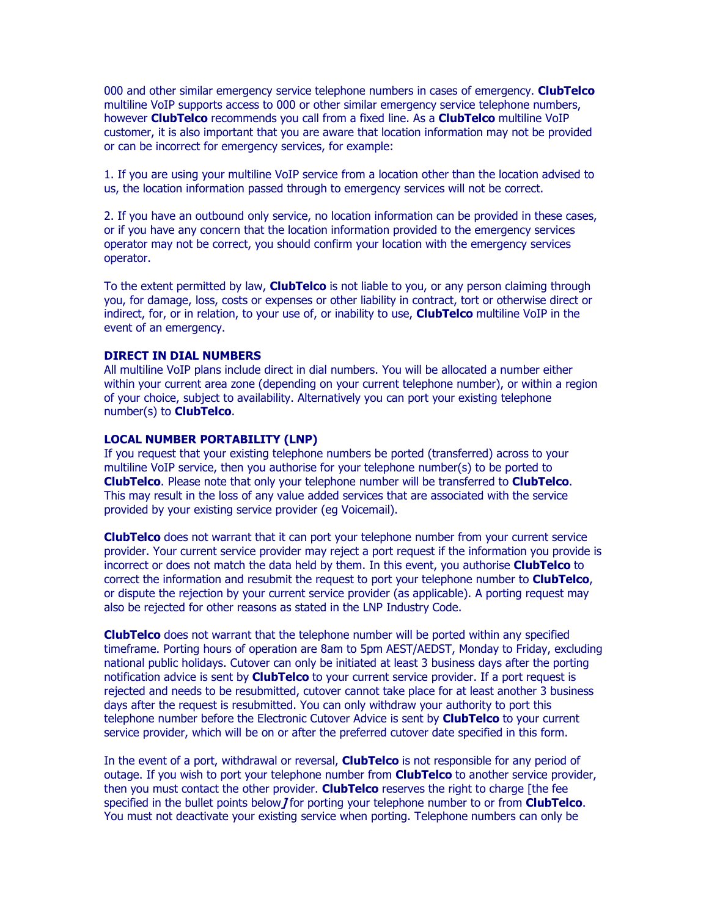000 and other similar emergency service telephone numbers in cases of emergency. ClubTelco multiline VoIP supports access to 000 or other similar emergency service telephone numbers, however **ClubTelco** recommends you call from a fixed line. As a **ClubTelco** multiline VoIP customer, it is also important that you are aware that location information may not be provided or can be incorrect for emergency services, for example:

1. If you are using your multiline VoIP service from a location other than the location advised to us, the location information passed through to emergency services will not be correct.

2. If you have an outbound only service, no location information can be provided in these cases, or if you have any concern that the location information provided to the emergency services operator may not be correct, you should confirm your location with the emergency services operator.

To the extent permitted by law, **ClubTelco** is not liable to you, or any person claiming through you, for damage, loss, costs or expenses or other liability in contract, tort or otherwise direct or indirect, for, or in relation, to your use of, or inability to use, **ClubTelco** multiline VoIP in the event of an emergency.

### DIRECT IN DIAL NUMBERS

All multiline VoIP plans include direct in dial numbers. You will be allocated a number either within your current area zone (depending on your current telephone number), or within a region of your choice, subject to availability. Alternatively you can port your existing telephone number(s) to **ClubTelco**.

#### LOCAL NUMBER PORTABILITY (LNP)

If you request that your existing telephone numbers be ported (transferred) across to your multiline VoIP service, then you authorise for your telephone number(s) to be ported to ClubTelco. Please note that only your telephone number will be transferred to ClubTelco. This may result in the loss of any value added services that are associated with the service provided by your existing service provider (eg Voicemail).

ClubTelco does not warrant that it can port your telephone number from your current service provider. Your current service provider may reject a port request if the information you provide is incorrect or does not match the data held by them. In this event, you authorise **ClubTelco** to correct the information and resubmit the request to port your telephone number to **ClubTelco**, or dispute the rejection by your current service provider (as applicable). A porting request may also be rejected for other reasons as stated in the LNP Industry Code.

**ClubTelco** does not warrant that the telephone number will be ported within any specified timeframe. Porting hours of operation are 8am to 5pm AEST/AEDST, Monday to Friday, excluding national public holidays. Cutover can only be initiated at least 3 business days after the porting notification advice is sent by **ClubTelco** to your current service provider. If a port request is rejected and needs to be resubmitted, cutover cannot take place for at least another 3 business days after the request is resubmitted. You can only withdraw your authority to port this telephone number before the Electronic Cutover Advice is sent by **ClubTelco** to your current service provider, which will be on or after the preferred cutover date specified in this form.

In the event of a port, withdrawal or reversal, **ClubTelco** is not responsible for any period of outage. If you wish to port your telephone number from **ClubTelco** to another service provider, then you must contact the other provider. ClubTelco reserves the right to charge [the fee specified in the bullet points below *J* for porting your telephone number to or from **ClubTelco**. You must not deactivate your existing service when porting. Telephone numbers can only be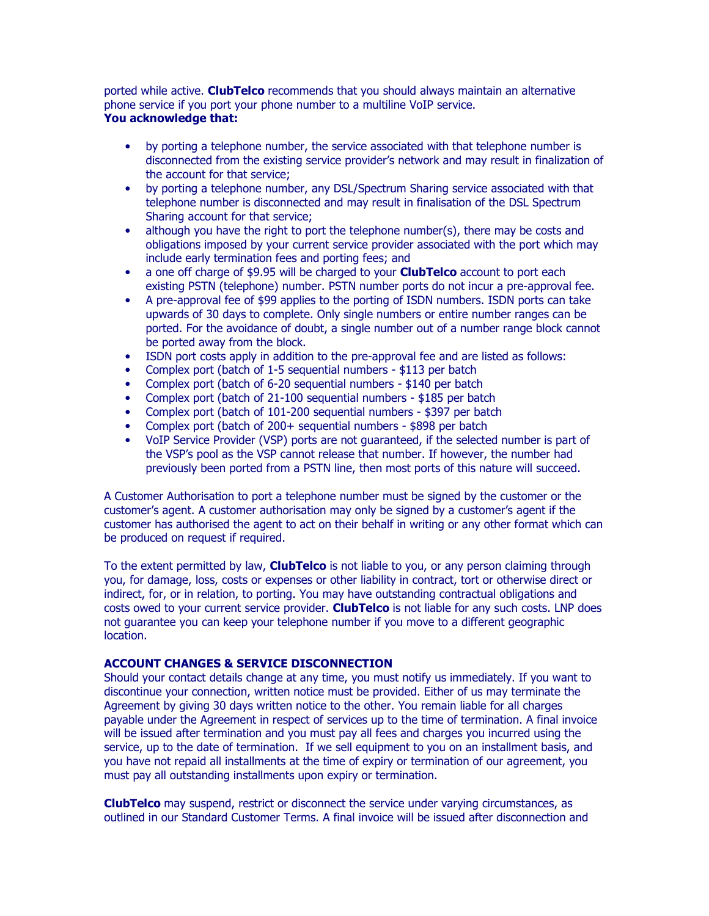ported while active. ClubTelco recommends that you should always maintain an alternative phone service if you port your phone number to a multiline VoIP service. You acknowledge that:

- by porting a telephone number, the service associated with that telephone number is disconnected from the existing service provider's network and may result in finalization of the account for that service;
- by porting a telephone number, any DSL/Spectrum Sharing service associated with that telephone number is disconnected and may result in finalisation of the DSL Spectrum Sharing account for that service;
- although you have the right to port the telephone number(s), there may be costs and obligations imposed by your current service provider associated with the port which may include early termination fees and porting fees; and
- a one off charge of \$9.95 will be charged to your **ClubTelco** account to port each existing PSTN (telephone) number. PSTN number ports do not incur a pre-approval fee.
- A pre-approval fee of \$99 applies to the porting of ISDN numbers. ISDN ports can take upwards of 30 days to complete. Only single numbers or entire number ranges can be ported. For the avoidance of doubt, a single number out of a number range block cannot be ported away from the block.
- ISDN port costs apply in addition to the pre-approval fee and are listed as follows:
- Complex port (batch of 1-5 sequential numbers \$113 per batch
- Complex port (batch of 6-20 sequential numbers \$140 per batch
- Complex port (batch of 21-100 sequential numbers \$185 per batch
- Complex port (batch of 101-200 sequential numbers \$397 per batch
- Complex port (batch of 200+ sequential numbers \$898 per batch
- VoIP Service Provider (VSP) ports are not guaranteed, if the selected number is part of the VSP's pool as the VSP cannot release that number. If however, the number had previously been ported from a PSTN line, then most ports of this nature will succeed.

A Customer Authorisation to port a telephone number must be signed by the customer or the customer's agent. A customer authorisation may only be signed by a customer's agent if the customer has authorised the agent to act on their behalf in writing or any other format which can be produced on request if required.

To the extent permitted by law, **ClubTelco** is not liable to you, or any person claiming through you, for damage, loss, costs or expenses or other liability in contract, tort or otherwise direct or indirect, for, or in relation, to porting. You may have outstanding contractual obligations and costs owed to your current service provider. **ClubTelco** is not liable for any such costs. LNP does not guarantee you can keep your telephone number if you move to a different geographic location.

### ACCOUNT CHANGES & SERVICE DISCONNECTION

Should your contact details change at any time, you must notify us immediately. If you want to discontinue your connection, written notice must be provided. Either of us may terminate the Agreement by giving 30 days written notice to the other. You remain liable for all charges payable under the Agreement in respect of services up to the time of termination. A final invoice will be issued after termination and you must pay all fees and charges you incurred using the service, up to the date of termination. If we sell equipment to you on an installment basis, and you have not repaid all installments at the time of expiry or termination of our agreement, you must pay all outstanding installments upon expiry or termination.

**ClubTelco** may suspend, restrict or disconnect the service under varying circumstances, as outlined in our Standard Customer Terms. A final invoice will be issued after disconnection and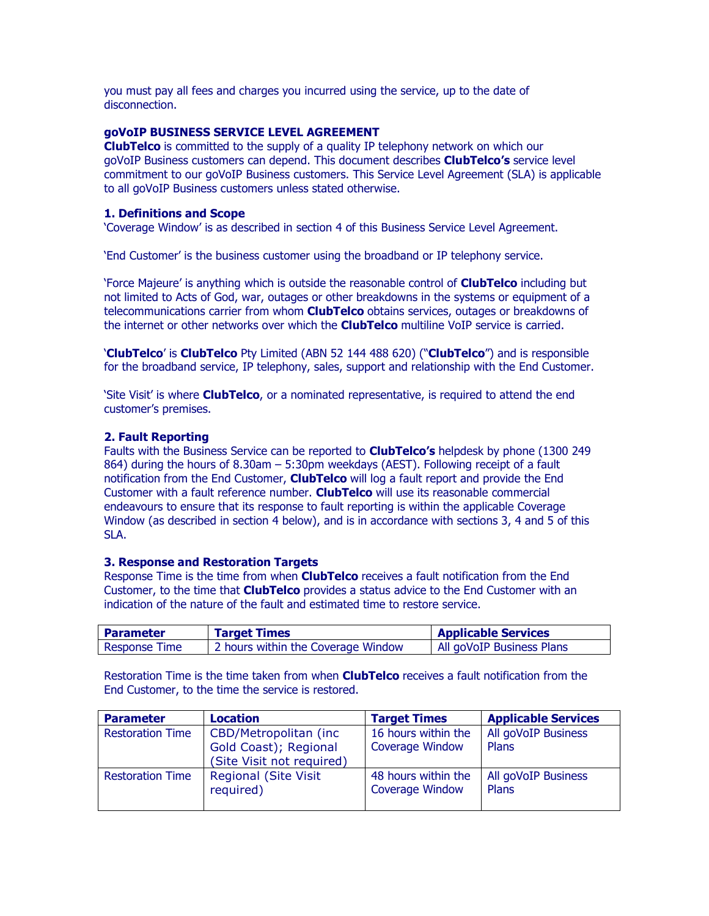you must pay all fees and charges you incurred using the service, up to the date of disconnection.

# goVoIP BUSINESS SERVICE LEVEL AGREEMENT

**ClubTelco** is committed to the supply of a quality IP telephony network on which our goVoIP Business customers can depend. This document describes **ClubTelco's** service level commitment to our goVoIP Business customers. This Service Level Agreement (SLA) is applicable to all goVoIP Business customers unless stated otherwise.

# 1. Definitions and Scope

'Coverage Window' is as described in section 4 of this Business Service Level Agreement.

'End Customer' is the business customer using the broadband or IP telephony service.

'Force Majeure' is anything which is outside the reasonable control of ClubTelco including but not limited to Acts of God, war, outages or other breakdowns in the systems or equipment of a telecommunications carrier from whom **ClubTelco** obtains services, outages or breakdowns of the internet or other networks over which the **ClubTelco** multiline VoIP service is carried.

'ClubTelco' is ClubTelco Pty Limited (ABN 52 144 488 620) ("ClubTelco") and is responsible for the broadband service, IP telephony, sales, support and relationship with the End Customer.

'Site Visit' is where **ClubTelco**, or a nominated representative, is required to attend the end customer's premises.

# 2. Fault Reporting

Faults with the Business Service can be reported to **ClubTelco's** helpdesk by phone (1300 249 864) during the hours of 8.30am – 5:30pm weekdays (AEST). Following receipt of a fault notification from the End Customer, **ClubTelco** will log a fault report and provide the End Customer with a fault reference number. **ClubTelco** will use its reasonable commercial endeavours to ensure that its response to fault reporting is within the applicable Coverage Window (as described in section 4 below), and is in accordance with sections 3, 4 and 5 of this SLA.

### 3. Response and Restoration Targets

Response Time is the time from when **ClubTelco** receives a fault notification from the End Customer, to the time that **ClubTelco** provides a status advice to the End Customer with an indication of the nature of the fault and estimated time to restore service.

| l Parameter          | <b>Target Times</b>                | <b>Applicable Services</b> |
|----------------------|------------------------------------|----------------------------|
| <b>Response Time</b> | 2 hours within the Coverage Window | All goVoIP Business Plans  |

Restoration Time is the time taken from when **ClubTelco** receives a fault notification from the End Customer, to the time the service is restored.

| <b>Parameter</b>        | Location                                                                     | <b>Target Times</b>                           | <b>Applicable Services</b>   |
|-------------------------|------------------------------------------------------------------------------|-----------------------------------------------|------------------------------|
| <b>Restoration Time</b> | CBD/Metropolitan (inc.<br>Gold Coast); Regional<br>(Site Visit not required) | 16 hours within the<br><b>Coverage Window</b> | All goVoIP Business<br>Plans |
| <b>Restoration Time</b> | <b>Regional (Site Visit</b><br>required)                                     | 48 hours within the<br><b>Coverage Window</b> | All goVoIP Business<br>Plans |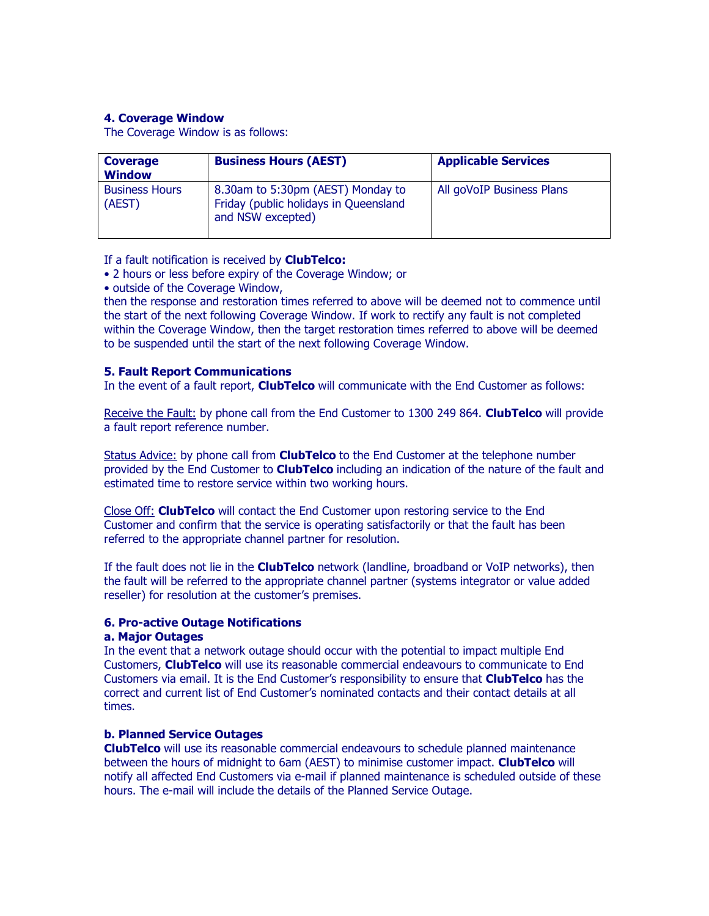# 4. Coverage Window

The Coverage Window is as follows:

| <b>Coverage</b><br><b>Window</b> | <b>Business Hours (AEST)</b>                                                                    | <b>Applicable Services</b> |
|----------------------------------|-------------------------------------------------------------------------------------------------|----------------------------|
| <b>Business Hours</b><br>(AEST)  | 8.30am to 5:30pm (AEST) Monday to<br>Friday (public holidays in Queensland<br>and NSW excepted) | All goVoIP Business Plans  |

If a fault notification is received by **ClubTelco:** 

- 2 hours or less before expiry of the Coverage Window; or
- outside of the Coverage Window,

then the response and restoration times referred to above will be deemed not to commence until the start of the next following Coverage Window. If work to rectify any fault is not completed within the Coverage Window, then the target restoration times referred to above will be deemed to be suspended until the start of the next following Coverage Window.

### 5. Fault Report Communications

In the event of a fault report, **ClubTelco** will communicate with the End Customer as follows:

Receive the Fault: by phone call from the End Customer to 1300 249 864. ClubTelco will provide a fault report reference number.

Status Advice: by phone call from **ClubTelco** to the End Customer at the telephone number provided by the End Customer to **ClubTelco** including an indication of the nature of the fault and estimated time to restore service within two working hours.

Close Off: **ClubTelco** will contact the End Customer upon restoring service to the End Customer and confirm that the service is operating satisfactorily or that the fault has been referred to the appropriate channel partner for resolution.

If the fault does not lie in the **ClubTelco** network (landline, broadband or VoIP networks), then the fault will be referred to the appropriate channel partner (systems integrator or value added reseller) for resolution at the customer's premises.

### 6. Pro-active Outage Notifications

### a. Major Outages

In the event that a network outage should occur with the potential to impact multiple End Customers, **ClubTelco** will use its reasonable commercial endeavours to communicate to End Customers via email. It is the End Customer's responsibility to ensure that **ClubTelco** has the correct and current list of End Customer's nominated contacts and their contact details at all times.

# b. Planned Service Outages

ClubTelco will use its reasonable commercial endeavours to schedule planned maintenance between the hours of midnight to 6am (AEST) to minimise customer impact. ClubTelco will notify all affected End Customers via e-mail if planned maintenance is scheduled outside of these hours. The e-mail will include the details of the Planned Service Outage.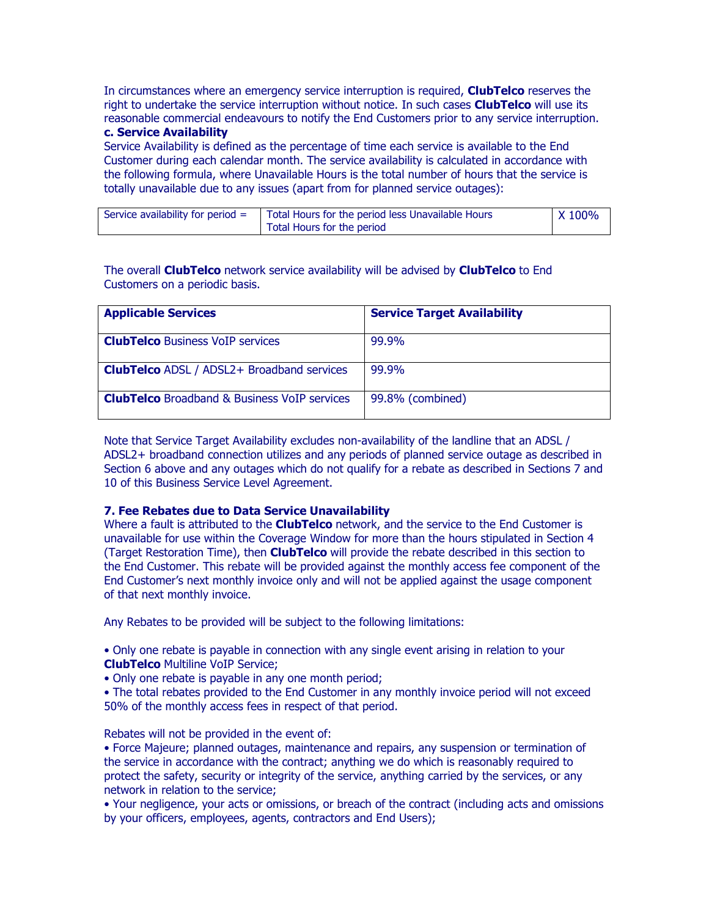In circumstances where an emergency service interruption is required, **ClubTelco** reserves the right to undertake the service interruption without notice. In such cases **ClubTelco** will use its reasonable commercial endeavours to notify the End Customers prior to any service interruption.

# c. Service Availability

Service Availability is defined as the percentage of time each service is available to the End Customer during each calendar month. The service availability is calculated in accordance with the following formula, where Unavailable Hours is the total number of hours that the service is totally unavailable due to any issues (apart from for planned service outages):

| Service availability for period $=$ | Total Hours for the period less Unavailable Hours | $\chi$ 100% |
|-------------------------------------|---------------------------------------------------|-------------|
|                                     | Total Hours for the period                        |             |

The overall **ClubTelco** network service availability will be advised by **ClubTelco** to End Customers on a periodic basis.

| <b>Applicable Services</b>                          | <b>Service Target Availability</b> |
|-----------------------------------------------------|------------------------------------|
| <b>ClubTelco</b> Business VoIP services             | 99.9%                              |
| <b>ClubTelco</b> ADSL / ADSL2+ Broadband services   | 99.9%                              |
| <b>ClubTelco</b> Broadband & Business VoIP services | 99.8% (combined)                   |

Note that Service Target Availability excludes non-availability of the landline that an ADSL / ADSL2+ broadband connection utilizes and any periods of planned service outage as described in Section 6 above and any outages which do not qualify for a rebate as described in Sections 7 and 10 of this Business Service Level Agreement.

### 7. Fee Rebates due to Data Service Unavailability

Where a fault is attributed to the **ClubTelco** network, and the service to the End Customer is unavailable for use within the Coverage Window for more than the hours stipulated in Section 4 (Target Restoration Time), then **ClubTelco** will provide the rebate described in this section to the End Customer. This rebate will be provided against the monthly access fee component of the End Customer's next monthly invoice only and will not be applied against the usage component of that next monthly invoice.

Any Rebates to be provided will be subject to the following limitations:

• Only one rebate is payable in connection with any single event arising in relation to your ClubTelco Multiline VoIP Service;

• Only one rebate is payable in any one month period;

• The total rebates provided to the End Customer in any monthly invoice period will not exceed 50% of the monthly access fees in respect of that period.

Rebates will not be provided in the event of:

• Force Majeure; planned outages, maintenance and repairs, any suspension or termination of the service in accordance with the contract; anything we do which is reasonably required to protect the safety, security or integrity of the service, anything carried by the services, or any network in relation to the service;

• Your negligence, your acts or omissions, or breach of the contract (including acts and omissions by your officers, employees, agents, contractors and End Users);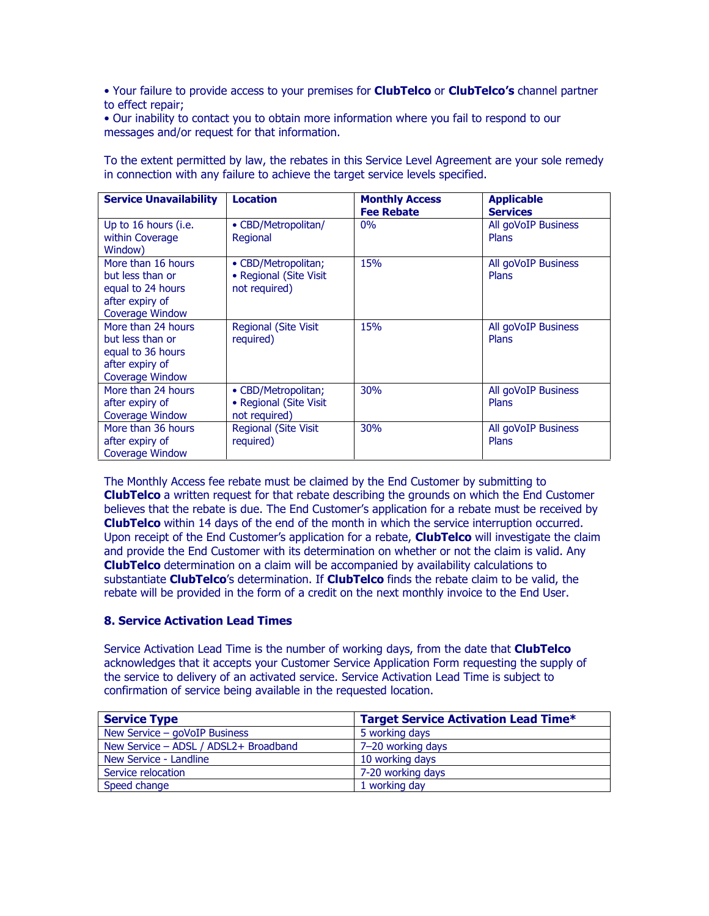• Your failure to provide access to your premises for **ClubTelco** or **ClubTelco's** channel partner to effect repair;

• Our inability to contact you to obtain more information where you fail to respond to our messages and/or request for that information.

| <b>Service Unavailability</b>                                                                            | <b>Location</b>                                                | <b>Monthly Access</b><br><b>Fee Rebate</b> | <b>Applicable</b><br><b>Services</b> |
|----------------------------------------------------------------------------------------------------------|----------------------------------------------------------------|--------------------------------------------|--------------------------------------|
| Up to 16 hours (i.e.<br>within Coverage<br>Window)                                                       | • CBD/Metropolitan/<br>Regional                                | $0\%$                                      | All goVoIP Business<br><b>Plans</b>  |
| More than 16 hours<br>but less than or<br>equal to 24 hours<br>after expiry of<br><b>Coverage Window</b> | • CBD/Metropolitan;<br>• Regional (Site Visit<br>not required) | 15%                                        | All goVoIP Business<br><b>Plans</b>  |
| More than 24 hours<br>but less than or<br>equal to 36 hours<br>after expiry of<br><b>Coverage Window</b> | <b>Regional (Site Visit</b><br>required)                       | 15%                                        | All goVoIP Business<br>Plans         |
| More than 24 hours<br>after expiry of<br><b>Coverage Window</b>                                          | • CBD/Metropolitan;<br>• Regional (Site Visit<br>not required) | 30%                                        | All goVoIP Business<br>Plans         |
| More than 36 hours<br>after expiry of<br>Coverage Window                                                 | <b>Regional (Site Visit)</b><br>required)                      | 30%                                        | All goVoIP Business<br>Plans         |

To the extent permitted by law, the rebates in this Service Level Agreement are your sole remedy in connection with any failure to achieve the target service levels specified.

The Monthly Access fee rebate must be claimed by the End Customer by submitting to **ClubTelco** a written request for that rebate describing the grounds on which the End Customer believes that the rebate is due. The End Customer's application for a rebate must be received by ClubTelco within 14 days of the end of the month in which the service interruption occurred. Upon receipt of the End Customer's application for a rebate, **ClubTelco** will investigate the claim and provide the End Customer with its determination on whether or not the claim is valid. Any ClubTelco determination on a claim will be accompanied by availability calculations to substantiate ClubTelco's determination. If ClubTelco finds the rebate claim to be valid, the rebate will be provided in the form of a credit on the next monthly invoice to the End User.

# 8. Service Activation Lead Times

Service Activation Lead Time is the number of working days, from the date that ClubTelco acknowledges that it accepts your Customer Service Application Form requesting the supply of the service to delivery of an activated service. Service Activation Lead Time is subject to confirmation of service being available in the requested location.

| <b>Service Type</b>                   | <b>Target Service Activation Lead Time*</b> |
|---------------------------------------|---------------------------------------------|
| New Service - goVoIP Business         | 5 working days                              |
| New Service - ADSL / ADSL2+ Broadband | 7-20 working days                           |
| New Service - Landline                | 10 working days                             |
| Service relocation                    | 7-20 working days                           |
| Speed change                          | 1 working day                               |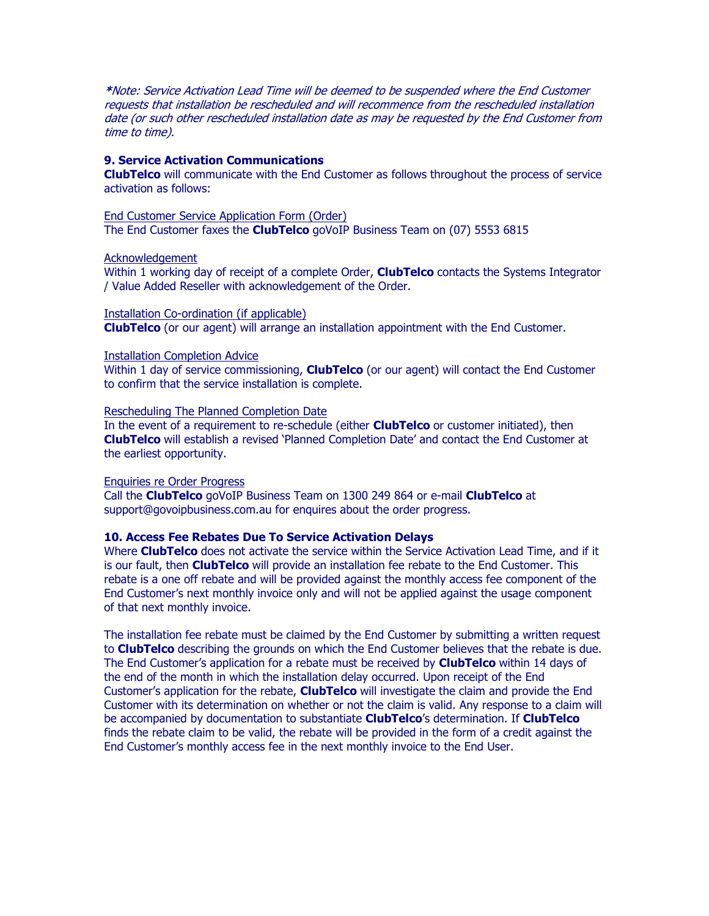\*Note: Service Activation Lead Time will be deemed to be suspended where the End Customer requests that installation be rescheduled and will recommence from the rescheduled installation date (or such other rescheduled installation date as may be requested by the End Customer from time to time).

### 9. Service Activation Communications

**ClubTelco** will communicate with the End Customer as follows throughout the process of service activation as follows:

End Customer Service Application Form (Order) The End Customer faxes the **ClubTelco** goVoIP Business Team on (07) 5553 6815

#### Acknowledgement

Within 1 working day of receipt of a complete Order, **ClubTelco** contacts the Systems Integrator / Value Added Reseller with acknowledgement of the Order.

Installation Co-ordination (if applicable) ClubTelco (or our agent) will arrange an installation appointment with the End Customer.

#### Installation Completion Advice

Within 1 day of service commissioning, **ClubTelco** (or our agent) will contact the End Customer to confirm that the service installation is complete.

#### Rescheduling The Planned Completion Date

In the event of a requirement to re-schedule (either **ClubTelco** or customer initiated), then ClubTelco will establish a revised 'Planned Completion Date' and contact the End Customer at the earliest opportunity.

#### Enquiries re Order Progress

Call the **ClubTelco** goVoIP Business Team on 1300 249 864 or e-mail **ClubTelco** at support@govoipbusiness.com.au for enquires about the order progress.

### 10. Access Fee Rebates Due To Service Activation Delays

Where ClubTelco does not activate the service within the Service Activation Lead Time, and if it is our fault, then **ClubTelco** will provide an installation fee rebate to the End Customer. This rebate is a one off rebate and will be provided against the monthly access fee component of the End Customer's next monthly invoice only and will not be applied against the usage component of that next monthly invoice.

The installation fee rebate must be claimed by the End Customer by submitting a written request to ClubTelco describing the grounds on which the End Customer believes that the rebate is due. The End Customer's application for a rebate must be received by **ClubTelco** within 14 days of the end of the month in which the installation delay occurred. Upon receipt of the End Customer's application for the rebate, **ClubTelco** will investigate the claim and provide the End Customer with its determination on whether or not the claim is valid. Any response to a claim will be accompanied by documentation to substantiate ClubTelco's determination. If ClubTelco finds the rebate claim to be valid, the rebate will be provided in the form of a credit against the End Customer's monthly access fee in the next monthly invoice to the End User.